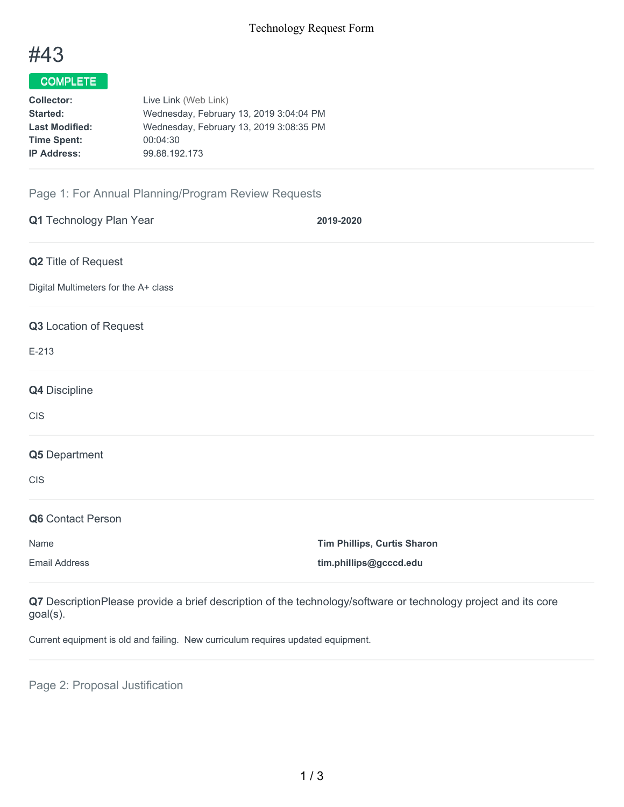

## COMPLETE

| <b>Collector:</b>     | Live Link (Web Link)                    |
|-----------------------|-----------------------------------------|
| <b>Started:</b>       | Wednesday, February 13, 2019 3:04:04 PM |
| <b>Last Modified:</b> | Wednesday, February 13, 2019 3:08:35 PM |
| <b>Time Spent:</b>    | 00:04:30                                |
| <b>IP Address:</b>    | 99.88.192.173                           |

## Page 1: For Annual Planning/Program Review Requests

| Q1 Technology Plan Year              | 2019-2020                          |
|--------------------------------------|------------------------------------|
| Q2 Title of Request                  |                                    |
| Digital Multimeters for the A+ class |                                    |
| Q3 Location of Request               |                                    |
| $E-213$                              |                                    |
| Q4 Discipline                        |                                    |
| CIS                                  |                                    |
| Q5 Department                        |                                    |
| <b>CIS</b>                           |                                    |
| Q6 Contact Person                    |                                    |
| Name                                 | <b>Tim Phillips, Curtis Sharon</b> |
| <b>Email Address</b>                 | tim.phillips@gcccd.edu             |

**Q7** DescriptionPlease provide a brief description of the technology/software or technology project and its core goal(s).

Current equipment is old and failing. New curriculum requires updated equipment.

Page 2: Proposal Justification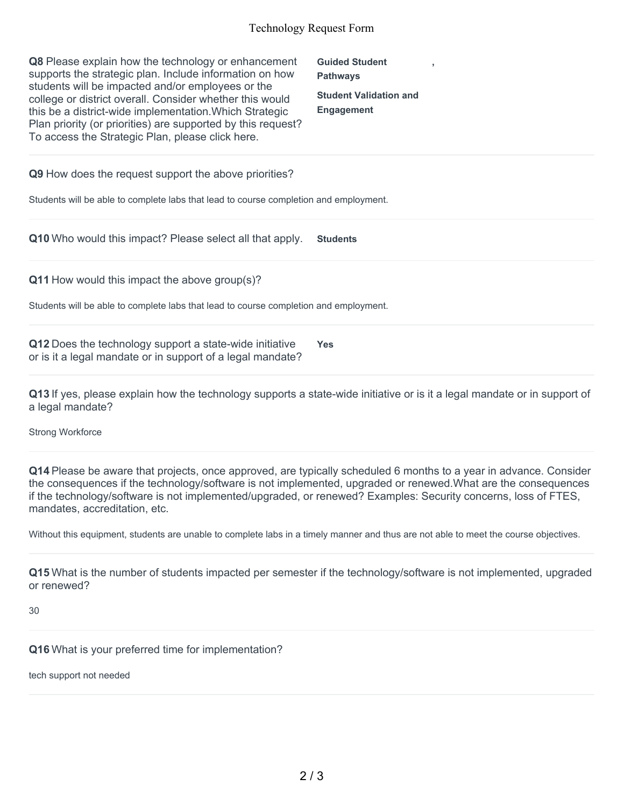## Technology Request Form

| <b>Q8</b> Please explain how the technology or enhancement<br>supports the strategic plan. Include information on how<br>students will be impacted and/or employees or the<br>college or district overall. Consider whether this would<br>this be a district-wide implementation. Which Strategic<br>Plan priority (or priorities) are supported by this request?<br>To access the Strategic Plan, please click here. | <b>Guided Student</b><br><b>Pathways</b><br><b>Student Validation and</b><br><b>Engagement</b> |  |
|-----------------------------------------------------------------------------------------------------------------------------------------------------------------------------------------------------------------------------------------------------------------------------------------------------------------------------------------------------------------------------------------------------------------------|------------------------------------------------------------------------------------------------|--|
| <b>Q9</b> How does the request support the above priorities?                                                                                                                                                                                                                                                                                                                                                          |                                                                                                |  |
| Students will be able to complete labs that lead to course completion and employment.                                                                                                                                                                                                                                                                                                                                 |                                                                                                |  |
| <b>Q10</b> Who would this impact? Please select all that apply.                                                                                                                                                                                                                                                                                                                                                       | <b>Students</b>                                                                                |  |
| Q11 How would this impact the above group(s)?                                                                                                                                                                                                                                                                                                                                                                         |                                                                                                |  |
| Students will be able to complete labs that lead to course completion and employment.                                                                                                                                                                                                                                                                                                                                 |                                                                                                |  |
| Q12 Does the technology support a state-wide initiative                                                                                                                                                                                                                                                                                                                                                               | <b>Yes</b>                                                                                     |  |

or is it a legal mandate or in support of a legal mandate?

**Q13** If yes, please explain how the technology supports a state-wide initiative or is it a legal mandate or in support of a legal mandate?

Strong Workforce

**Q14** Please be aware that projects, once approved, are typically scheduled 6 months to a year in advance. Consider the consequences if the technology/software is not implemented, upgraded or renewed.What are the consequences if the technology/software is not implemented/upgraded, or renewed? Examples: Security concerns, loss of FTES, mandates, accreditation, etc.

Without this equipment, students are unable to complete labs in a timely manner and thus are not able to meet the course objectives.

**Q15** What is the number of students impacted per semester if the technology/software is not implemented, upgraded or renewed?

30

**Q16** What is your preferred time for implementation?

tech support not needed